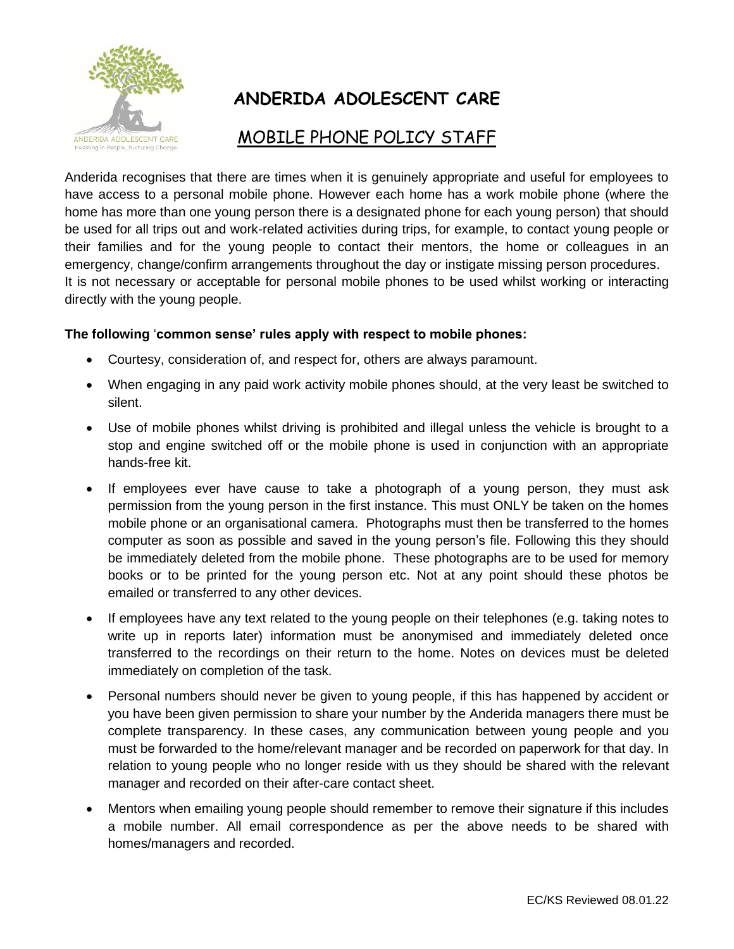

## **ANDERIDA ADOLESCENT CARE**

## MOBILE PHONE POLICY STAFF

Anderida recognises that there are times when it is genuinely appropriate and useful for employees to have access to a personal mobile phone. However each home has a work mobile phone (where the home has more than one young person there is a designated phone for each young person) that should be used for all trips out and work-related activities during trips, for example, to contact young people or their families and for the young people to contact their mentors, the home or colleagues in an emergency, change/confirm arrangements throughout the day or instigate missing person procedures. It is not necessary or acceptable for personal mobile phones to be used whilst working or interacting directly with the young people.

## **The following** '**common sense' rules apply with respect to mobile phones:**

- Courtesy, consideration of, and respect for, others are always paramount.
- When engaging in any paid work activity mobile phones should, at the very least be switched to silent.
- Use of mobile phones whilst driving is prohibited and illegal unless the vehicle is brought to a stop and engine switched off or the mobile phone is used in conjunction with an appropriate hands-free kit.
- If employees ever have cause to take a photograph of a young person, they must ask permission from the young person in the first instance. This must ONLY be taken on the homes mobile phone or an organisational camera. Photographs must then be transferred to the homes computer as soon as possible and saved in the young person's file. Following this they should be immediately deleted from the mobile phone. These photographs are to be used for memory books or to be printed for the young person etc. Not at any point should these photos be emailed or transferred to any other devices.
- If employees have any text related to the young people on their telephones (e.g. taking notes to write up in reports later) information must be anonymised and immediately deleted once transferred to the recordings on their return to the home. Notes on devices must be deleted immediately on completion of the task.
- Personal numbers should never be given to young people, if this has happened by accident or you have been given permission to share your number by the Anderida managers there must be complete transparency. In these cases, any communication between young people and you must be forwarded to the home/relevant manager and be recorded on paperwork for that day. In relation to young people who no longer reside with us they should be shared with the relevant manager and recorded on their after-care contact sheet.
- Mentors when emailing young people should remember to remove their signature if this includes a mobile number. All email correspondence as per the above needs to be shared with homes/managers and recorded.